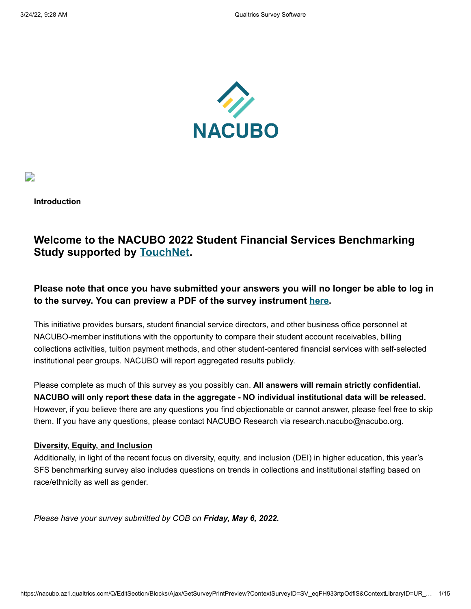

D

**Introduction**

# **Welcome to the NACUBO 2022 Student Financial Services Benchmarking Study supported by [TouchNet](https://www.touchnet.com/en).**

# **Please note that once you have submitted your answers you will no longer be able to log in to the survey. You can preview a PDF of the survey instrument [here.](https://www.nacubo.org/Research/2021/NACUBO-Student-Financial-Services-Benchmarking-Report)**

This initiative provides bursars, student financial service directors, and other business office personnel at NACUBO-member institutions with the opportunity to compare their student account receivables, billing collections activities, tuition payment methods, and other student-centered financial services with self-selected institutional peer groups. NACUBO will report aggregated results publicly.

Please complete as much of this survey as you possibly can. **All answers will remain strictly confidential. NACUBO will only report these data in the aggregate - NO individual institutional data will be released.** However, if you believe there are any questions you find objectionable or cannot answer, please feel free to skip them. If you have any questions, please contact NACUBO Research via research.nacubo@nacubo.org.

## **Diversity, Equity, and Inclusion**

Additionally, in light of the recent focus on diversity, equity, and inclusion (DEI) in higher education, this year's SFS benchmarking survey also includes questions on trends in collections and institutional staffing based on race/ethnicity as well as gender.

*Please have your survey submitted by COB on Friday, May 6, 2022.*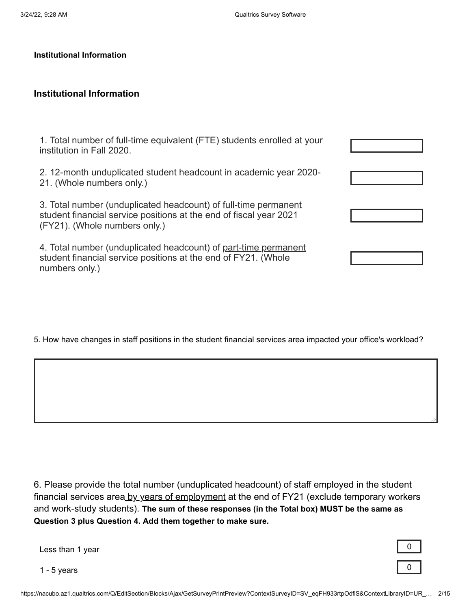#### **Institutional Information**

# **Institutional Information**

| 1. Total number of full-time equivalent (FTE) students enrolled at your<br>institution in Fall 2020.                                                                   |  |
|------------------------------------------------------------------------------------------------------------------------------------------------------------------------|--|
| 2. 12-month unduplicated student headcount in academic year 2020-<br>21. (Whole numbers only.)                                                                         |  |
| 3. Total number (unduplicated headcount) of full-time permanent<br>student financial service positions at the end of fiscal year 2021<br>(FY21). (Whole numbers only.) |  |
| 4. Total number (unduplicated headcount) of part-time permanent<br>student financial service positions at the end of FY21. (Whole<br>numbers only.)                    |  |

5. How have changes in staff positions in the student financial services area impacted your office's workload?

6. Please provide the total number (unduplicated headcount) of staff employed in the student financial services area by years of employment at the end of FY21 (exclude temporary workers and work-study students). **The sum of these responses (in the Total box) MUST be the same as Question 3 plus Question 4. Add them together to make sure.**

Less than 1 year  $\begin{array}{c} \boxed{0} \\ \boxed{0} \end{array}$ 

1 - 5 years  $\overline{0}$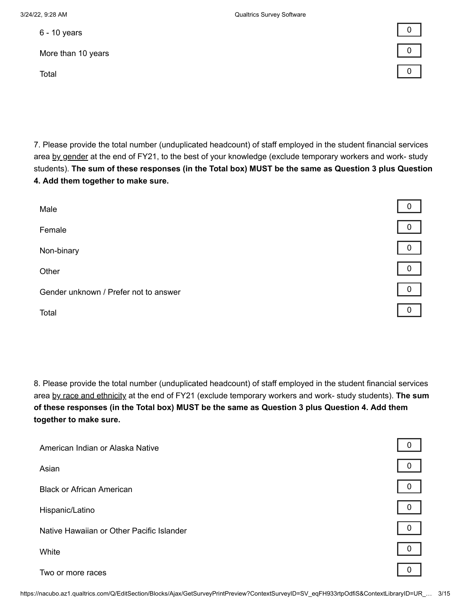$6$  - 10 years  $\begin{array}{|c|c|c|c|c|}\hline 0 & 0 \end{array}$ 

More than 10 years 0



7. Please provide the total number (unduplicated headcount) of staff employed in the student financial services area by gender at the end of FY21, to the best of your knowledge (exclude temporary workers and work- study students). **The sum of these responses (in the Total box) MUST be the same as Question 3 plus Question 4. Add them together to make sure.** 

| Male                                  | 0            |
|---------------------------------------|--------------|
| Female                                | $\mathbf 0$  |
| Non-binary                            | $\mathbf 0$  |
| Other                                 | $\mathbf 0$  |
| Gender unknown / Prefer not to answer | $\mathbf{0}$ |
| Total                                 | $\Omega$     |
|                                       |              |

8. Please provide the total number (unduplicated headcount) of staff employed in the student financial services area by race and ethnicity at the end of FY21 (exclude temporary workers and work- study students). **The sum of these responses (in the Total box) MUST be the same as Question 3 plus Question 4. Add them together to make sure.**

| American Indian or Alaska Native          |   |
|-------------------------------------------|---|
| Asian                                     |   |
| <b>Black or African American</b>          | 0 |
| Hispanic/Latino                           | 0 |
| Native Hawaiian or Other Pacific Islander | 0 |
| White                                     |   |
| Two or more races                         |   |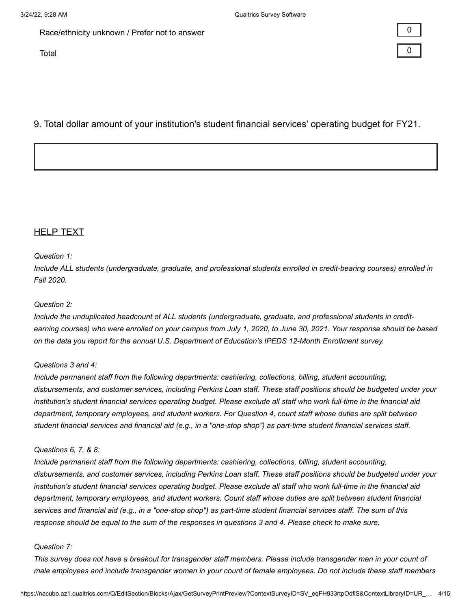Race/ethnicity unknown / Prefer not to answer

Total and the contract of the contract of the contract of the contract of the contract of the contract of the contract of the contract of the contract of the contract of the contract of the contract of the contract of the

| 0 | $\mathcal{L}(\mathcal{L})$ and $\mathcal{L}(\mathcal{L})$ and $\mathcal{L}(\mathcal{L})$ and $\mathcal{L}(\mathcal{L})$ |
|---|-------------------------------------------------------------------------------------------------------------------------|
|   |                                                                                                                         |
| 0 |                                                                                                                         |

# 9. Total dollar amount of your institution's student financial services' operating budget for FY21.

# **HELP TEXT**

#### *Question 1:*

*Include ALL students (undergraduate, graduate, and professional students enrolled in credit-bearing courses) enrolled in Fall 2020.*

#### *Question 2:*

*Include the unduplicated headcount of ALL students (undergraduate, graduate, and professional students in creditearning courses) who were enrolled on your campus from July 1, 2020, to June 30, 2021. Your response should be based on the data you report for the annual U.S. Department of Education's IPEDS 12-Month Enrollment survey.*

#### *Questions 3 and 4:*

*Include permanent staff from the following departments: cashiering, collections, billing, student accounting, disbursements, and customer services, including Perkins Loan staff. These staff positions should be budgeted under your institution's student financial services operating budget. Please exclude all staff who work full-time in the financial aid department, temporary employees, and student workers. For Question 4, count staff whose duties are split between student financial services and financial aid (e.g., in a "one-stop shop") as part-time student financial services staff.*

#### *Questions 6, 7, & 8:*

*Include permanent staff from the following departments: cashiering, collections, billing, student accounting, disbursements, and customer services, including Perkins Loan staff. These staff positions should be budgeted under your institution's student financial services operating budget. Please exclude all staff who work full-time in the financial aid department, temporary employees, and student workers. Count staff whose duties are split between student financial services and financial aid (e.g., in a "one-stop shop") as part-time student financial services staff. The sum of this response should be equal to the sum of the responses in questions 3 and 4. Please check to make sure.*

#### *Question 7:*

*This survey does not have a breakout for transgender staff members. Please include transgender men in your count of male employees and include transgender women in your count of female employees. Do not include these staff members*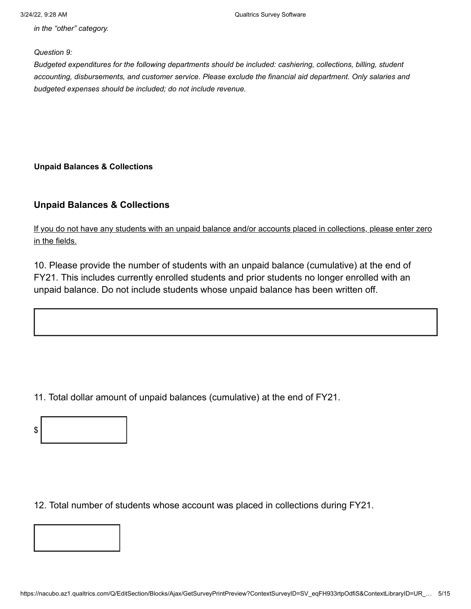*in the "other" category.*

*Question 9:*

*Budgeted expenditures for the following departments should be included: cashiering, collections, billing, student accounting, disbursements, and customer service. Please exclude the financial aid department. Only salaries and budgeted expenses should be included; do not include revenue.*

**Unpaid Balances & Collections**

# **Unpaid Balances & Collections**

If you do not have any students with an unpaid balance and/or accounts placed in collections, please enter zero in the fields.

10. Please provide the number of students with an unpaid balance (cumulative) at the end of FY21. This includes currently enrolled students and prior students no longer enrolled with an unpaid balance. Do not include students whose unpaid balance has been written off.

11. Total dollar amount of unpaid balances (cumulative) at the end of FY21.



12. Total number of students whose account was placed in collections during FY21.

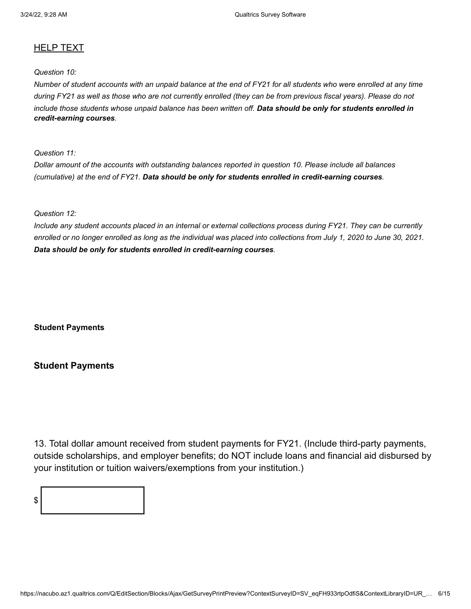### HELP TEXT

## *Question 10:*

*Number of student accounts with an unpaid balance at the end of FY21 for all students who were enrolled at any time during FY21 as well as those who are not currently enrolled (they can be from previous fiscal years). Please do not include those students whose unpaid balance has been written off. Data should be only for students enrolled in credit-earning courses.*

*Question 11:*

*Dollar amount of the accounts with outstanding balances reported in question 10. Please include all balances (cumulative) at the end of FY21. Data should be only for students enrolled in credit-earning courses.*

#### *Question 12:*

*Include any student accounts placed in an internal or external collections process during FY21. They can be currently enrolled or no longer enrolled as long as the individual was placed into collections from July 1, 2020 to June 30, 2021. Data should be only for students enrolled in credit-earning courses.*

**Student Payments**

### **Student Payments**

13. Total dollar amount received from student payments for FY21. (Include third-party payments, outside scholarships, and employer benefits; do NOT include loans and financial aid disbursed by your institution or tuition waivers/exemptions from your institution.)

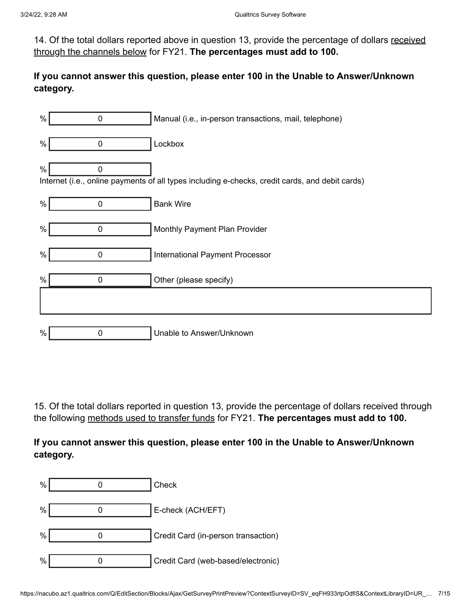14. Of the total dollars reported above in question 13, provide the percentage of dollars received through the channels below for FY21. **The percentages must add to 100.**

# **If you cannot answer this question, please enter 100 in the Unable to Answer/Unknown category.**

| $\%$ | $\mathbf 0$    | Manual (i.e., in-person transactions, mail, telephone)                                          |
|------|----------------|-------------------------------------------------------------------------------------------------|
| $\%$ | $\mathbf 0$    | Lockbox                                                                                         |
| $\%$ | $\mathbf 0$    | Internet (i.e., online payments of all types including e-checks, credit cards, and debit cards) |
| $\%$ | $\overline{0}$ | <b>Bank Wire</b>                                                                                |
| $\%$ | $\mathbf 0$    | Monthly Payment Plan Provider                                                                   |
| $\%$ | $\mathbf 0$    | International Payment Processor                                                                 |
| %    | $\Omega$       | Other (please specify)                                                                          |
|      |                |                                                                                                 |
| $\%$ | 0              | Unable to Answer/Unknown                                                                        |

15. Of the total dollars reported in question 13, provide the percentage of dollars received through the following methods used to transfer funds for FY21. **The percentages must add to 100.** 

# **If you cannot answer this question, please enter 100 in the Unable to Answer/Unknown category.**

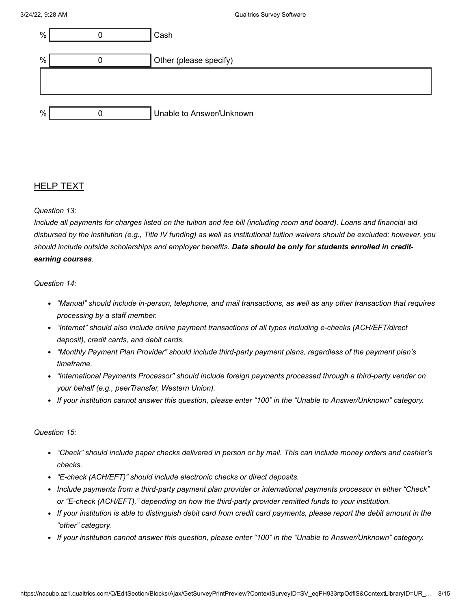| %    | Cash                     |
|------|--------------------------|
|      |                          |
| $\%$ | Other (please specify)   |
|      |                          |
|      |                          |
|      |                          |
| $\%$ | Unable to Answer/Unknown |

### HELP TEXT

#### *Question 13:*

*Include all payments for charges listed on the tuition and fee bill (including room and board). Loans and financial aid disbursed by the institution (e.g., Title IV funding) as well as institutional tuition waivers should be excluded; however, you should include outside scholarships and employer benefits. Data should be only for students enrolled in creditearning courses.*

#### *Question 14:*

- *"Manual" should include in-person, telephone, and mail transactions, as well as any other transaction that requires processing by a staff member.*
- *"Internet" should also include online payment transactions of all types including e-checks (ACH/EFT/direct deposit), credit cards, and debit cards.*
- *"Monthly Payment Plan Provider" should include third-party payment plans, regardless of the payment plan's timeframe.*
- *"International Payments Processor" should include foreign payments processed through a third-party vender on your behalf (e.g., peerTransfer, Western Union).*
- *If your institution cannot answer this question, please enter "100" in the "Unable to Answer/Unknown" category.*

#### *Question 15:*

- *"Check" should include paper checks delivered in person or by mail. This can include money orders and cashier's checks.*
- *"E-check (ACH/EFT)" should include electronic checks or direct deposits.*
- *Include payments from a third-party payment plan provider or international payments processor in either "Check" or "E-check (ACH/EFT)," depending on how the third-party provider remitted funds to your institution.*
- *If your institution is able to distinguish debit card from credit card payments, please report the debit amount in the "other" category.*
- *If your institution cannot answer this question, please enter "100" in the "Unable to Answer/Unknown" category.*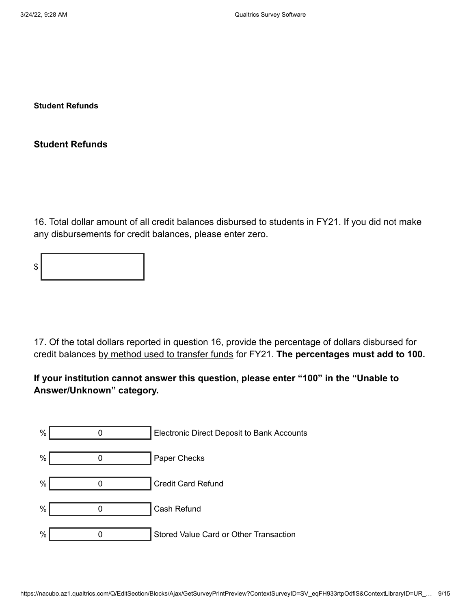**Student Refunds**

**Student Refunds**

16. Total dollar amount of all credit balances disbursed to students in FY21. If you did not make any disbursements for credit balances, please enter zero.

17. Of the total dollars reported in question 16, provide the percentage of dollars disbursed for credit balances by method used to transfer funds for FY21. **The percentages must add to 100.** 

**If your institution cannot answer this question, please enter "100" in the "Unable to Answer/Unknown" category.**

| $\%$ | <b>Electronic Direct Deposit to Bank Accounts</b> |
|------|---------------------------------------------------|
| $\%$ | Paper Checks                                      |
| $\%$ | <b>Credit Card Refund</b>                         |
| $\%$ | Cash Refund                                       |
| $\%$ | Stored Value Card or Other Transaction            |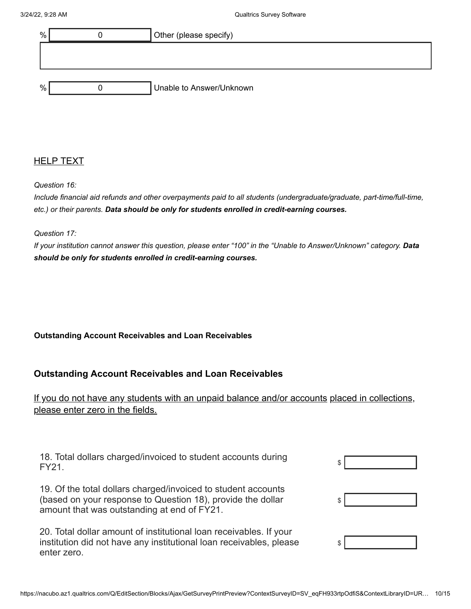

### HELP TEXT

*Question 16:*

*Include financial aid refunds and other overpayments paid to all students (undergraduate/graduate, part-time/full-time, etc.) or their parents. Data should be only for students enrolled in credit-earning courses.*

*Question 17:*

*If your institution cannot answer this question, please enter "100" in the "Unable to Answer/Unknown" category. Data should be only for students enrolled in credit-earning courses.*

### **Outstanding Account Receivables and Loan Receivables**

## **Outstanding Account Receivables and Loan Receivables**

If you do not have any students with an unpaid balance and/or accounts placed in collections, please enter zero in the fields.

| 18. Total dollars charged/invoiced to student accounts during |  |
|---------------------------------------------------------------|--|
| <b>FY21.</b>                                                  |  |
|                                                               |  |

19. Of the total dollars charged/invoiced to student accounts (based on your response to Question 18), provide the dollar amount that was outstanding at end of FY21.

20. Total dollar amount of institutional loan receivables. If your institution did not have any institutional loan receivables, please enter zero.

| c |  |
|---|--|
|   |  |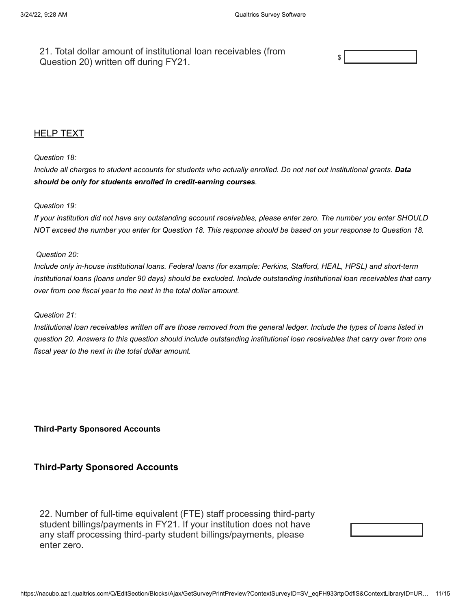21. Total dollar amount of institutional loan receivables (from Question 20) written off during FY21.



### HELP TEXT

#### *Question 18:*

*Include all charges to student accounts for students who actually enrolled. Do not net out institutional grants. Data should be only for students enrolled in credit-earning courses.*

#### *Question 19:*

*If your institution did not have any outstanding account receivables, please enter zero. The number you enter SHOULD NOT exceed the number you enter for Question 18. This response should be based on your response to Question 18.*

#### *Question 20:*

*Include only in-house institutional loans. Federal loans (for example: Perkins, Stafford, HEAL, HPSL) and short-term institutional loans (loans under 90 days) should be excluded. Include outstanding institutional loan receivables that carry over from one fiscal year to the next in the total dollar amount.*

#### *Question 21:*

*Institutional loan receivables written off are those removed from the general ledger. Include the types of loans listed in question 20. Answers to this question should include outstanding institutional loan receivables that carry over from one fiscal year to the next in the total dollar amount.*

**Third-Party Sponsored Accounts**

### **Third-Party Sponsored Accounts**

22. Number of full-time equivalent (FTE) staff processing third-party student billings/payments in FY21. If your institution does not have any staff processing third-party student billings/payments, please enter zero.

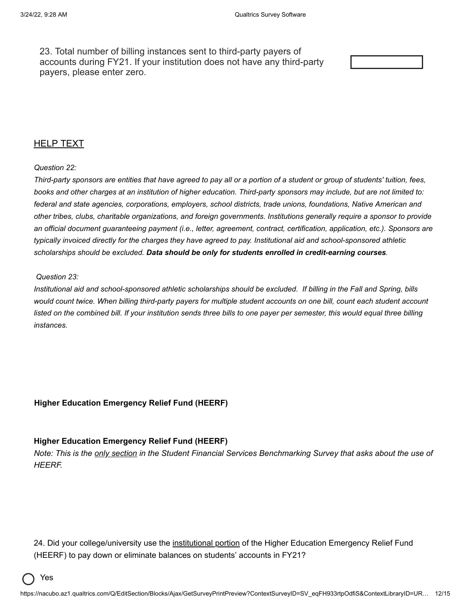23. Total number of billing instances sent to third-party payers of accounts during FY21. If your institution does not have any third-party payers, please enter zero.

### **HELP TEXT**

#### *Question 22:*

*Third-party sponsors are entities that have agreed to pay all or a portion of a student or group of students' tuition, fees, books and other charges at an institution of higher education. Third-party sponsors may include, but are not limited to: federal and state agencies, corporations, employers, school districts, trade unions, foundations, Native American and other tribes, clubs, charitable organizations, and foreign governments. Institutions generally require a sponsor to provide an official document guaranteeing payment (i.e., letter, agreement, contract, certification, application, etc.). Sponsors are typically invoiced directly for the charges they have agreed to pay. Institutional aid and school-sponsored athletic scholarships should be excluded. Data should be only for students enrolled in credit-earning courses.*

#### *Question 23:*

*Institutional aid and school-sponsored athletic scholarships should be excluded. If billing in the Fall and Spring, bills would count twice. When billing third-party payers for multiple student accounts on one bill, count each student account listed on the combined bill. If your institution sends three bills to one payer per semester, this would equal three billing instances.*

#### **Higher Education Emergency Relief Fund (HEERF)**

#### **Higher Education Emergency Relief Fund (HEERF)**

*Note: This is the only section in the Student Financial Services Benchmarking Survey that asks about the use of HEERF.*

24. Did your college/university use the <u>institutional portion</u> of the Higher Education Emergency Relief Fund (HEERF) to pay down or eliminate balances on students' accounts in FY21?

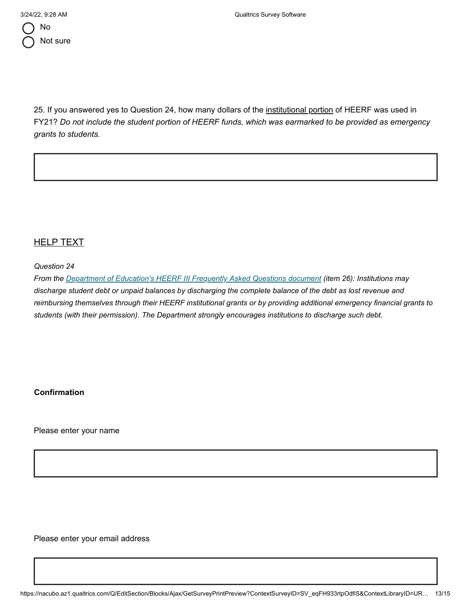

25. If you answered yes to Question 24, how many dollars of the institutional portion of HEERF was used in FY21? *Do not include the student portion of HEERF funds, which was earmarked to be provided as emergency grants to students.*

# HELP TEXT

*Question 24*

*From the [Department of Education's HEERF III Frequently Asked Questions document](https://www2.ed.gov/about/offices/list/ope/arpfaq.pdf) (item 26): Institutions may discharge student debt or unpaid balances by discharging the complete balance of the debt as lost revenue and reimbursing themselves through their HEERF institutional grants or by providing additional emergency financial grants to students (with their permission). The Department strongly encourages institutions to discharge such debt.*

**Confirmation**

Please enter your name

Please enter your email address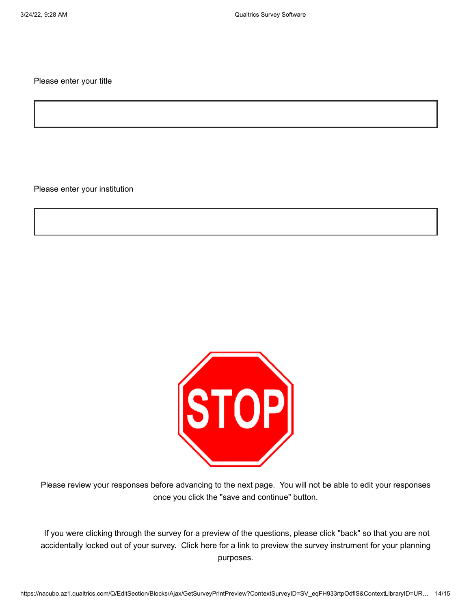Please enter your title

Please enter your institution



Please review your responses before advancing to the next page. You will not be able to edit your responses once you click the "save and continue" button.

If you were clicking through the survey for a preview of the questions, please click "back" so that you are not accidentally locked out of your survey. Click here for a link to preview the survey instrument for your planning purposes.